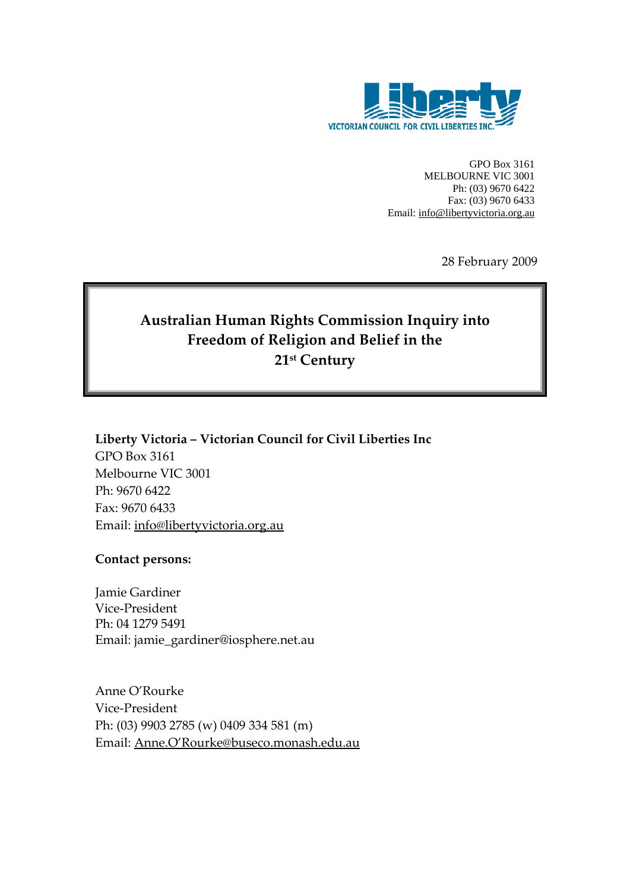

GPO Box 3161 MELBOURNE VIC 3001 Ph: (03) 9670 6422 Fax: (03) 9670 6433 Email: info@libertyvictoria.org.au

28 February 2009

# **Australian Human Rights Commission Inquiry into Freedom of Religion and Belief in the 21st Century**

**Liberty Victoria – Victorian Council for Civil Liberties Inc** GPO Box 3161 Melbourne VIC 3001 Ph: 9670 6422 Fax: 9670 6433 Email: info@libertyvictoria.org.au

**Contact persons:**

Jamie Gardiner Vice-President Ph: 04 1279 5491 Email: jamie\_gardiner@iosphere.net.au

Anne O'Rourke Vice‐President Ph: (03) 9903 2785 (w) 0409 334 581 (m) Email: Anne.O'Rourke@buseco.monash.edu.au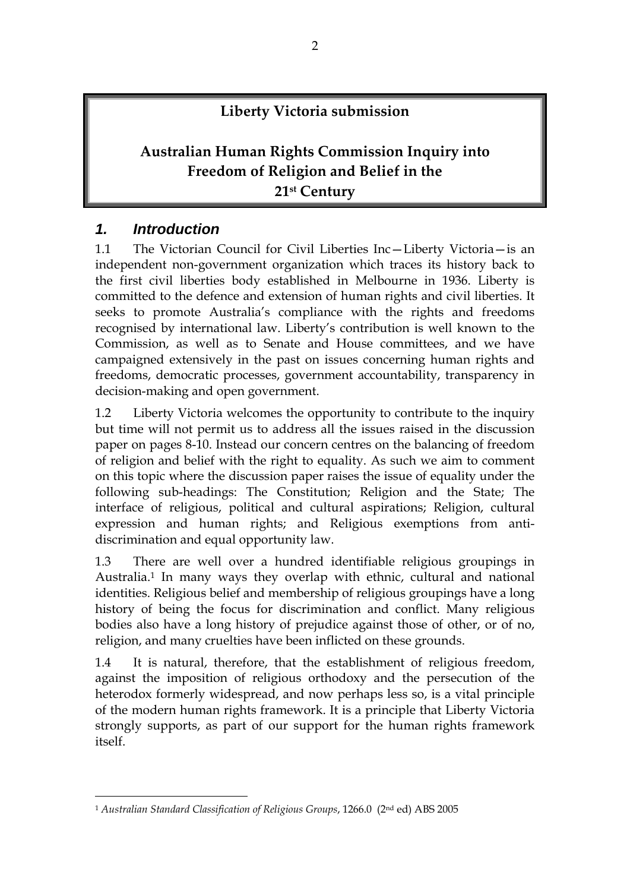### **Liberty Victoria submission**

# **Australian Human Rights Commission Inquiry into Freedom of Religion and Belief in the 21st Century**

#### *1. Introduction*

-

1.1 The Victorian Council for Civil Liberties Inc—Liberty Victoria—is an independent non-government organization which traces its history back to the first civil liberties body established in Melbourne in 1936. Liberty is committed to the defence and extension of human rights and civil liberties. It seeks to promote Australia's compliance with the rights and freedoms recognised by international law. Liberty's contribution is well known to the Commission, as well as to Senate and House committees, and we have campaigned extensively in the past on issues concerning human rights and freedoms, democratic processes, government accountability, transparency in decision-making and open government.

1.2 Liberty Victoria welcomes the opportunity to contribute to the inquiry but time will not permit us to address all the issues raised in the discussion paper on pages 8-10. Instead our concern centres on the balancing of freedom of religion and belief with the right to equality. As such we aim to comment on this topic where the discussion paper raises the issue of equality under the following sub-headings: The Constitution; Religion and the State; The interface of religious, political and cultural aspirations; Religion, cultural expression and human rights; and Religious exemptions from antidiscrimination and equal opportunity law.

1.3 There are well over a hundred identifiable religious groupings in Australia.1 In many ways they overlap with ethnic, cultural and national identities. Religious belief and membership of religious groupings have a long history of being the focus for discrimination and conflict. Many religious bodies also have a long history of prejudice against those of other, or of no, religion, and many cruelties have been inflicted on these grounds.

1.4 It is natural, therefore, that the establishment of religious freedom, against the imposition of religious orthodoxy and the persecution of the heterodox formerly widespread, and now perhaps less so, is a vital principle of the modern human rights framework. It is a principle that Liberty Victoria strongly supports, as part of our support for the human rights framework itself.

<sup>1</sup> *Australian Standard Classification of Religious Groups*, 1266.0 (2nd ed) ABS 2005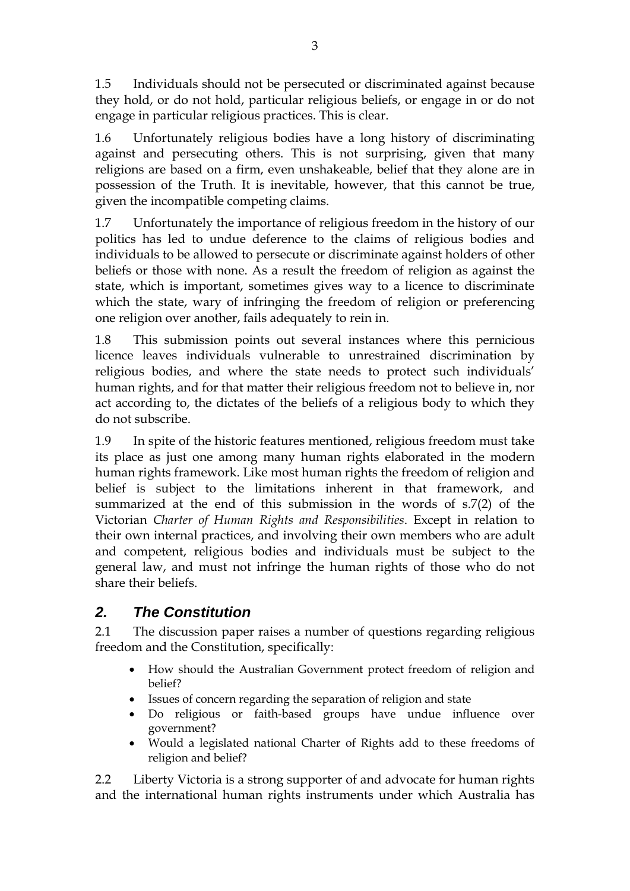1.5 Individuals should not be persecuted or discriminated against because they hold, or do not hold, particular religious beliefs, or engage in or do not engage in particular religious practices. This is clear.

1.6 Unfortunately religious bodies have a long history of discriminating against and persecuting others. This is not surprising, given that many religions are based on a firm, even unshakeable, belief that they alone are in possession of the Truth. It is inevitable, however, that this cannot be true, given the incompatible competing claims.

1.7 Unfortunately the importance of religious freedom in the history of our politics has led to undue deference to the claims of religious bodies and individuals to be allowed to persecute or discriminate against holders of other beliefs or those with none. As a result the freedom of religion as against the state, which is important, sometimes gives way to a licence to discriminate which the state, wary of infringing the freedom of religion or preferencing one religion over another, fails adequately to rein in.

1.8 This submission points out several instances where this pernicious licence leaves individuals vulnerable to unrestrained discrimination by religious bodies, and where the state needs to protect such individuals' human rights, and for that matter their religious freedom not to believe in, nor act according to, the dictates of the beliefs of a religious body to which they do not subscribe.

1.9 In spite of the historic features mentioned, religious freedom must take its place as just one among many human rights elaborated in the modern human rights framework. Like most human rights the freedom of religion and belief is subject to the limitations inherent in that framework, and summarized at the end of this submission in the words of s.7(2) of the Victorian *Charter of Human Rights and Responsibilities*. Except in relation to their own internal practices, and involving their own members who are adult and competent, religious bodies and individuals must be subject to the general law, and must not infringe the human rights of those who do not share their beliefs.

# *2. The Constitution*

2.1 The discussion paper raises a number of questions regarding religious freedom and the Constitution, specifically:

- How should the Australian Government protect freedom of religion and belief?
- Issues of concern regarding the separation of religion and state
- Do religious or faith-based groups have undue influence over government?
- Would a legislated national Charter of Rights add to these freedoms of religion and belief?

2.2 Liberty Victoria is a strong supporter of and advocate for human rights and the international human rights instruments under which Australia has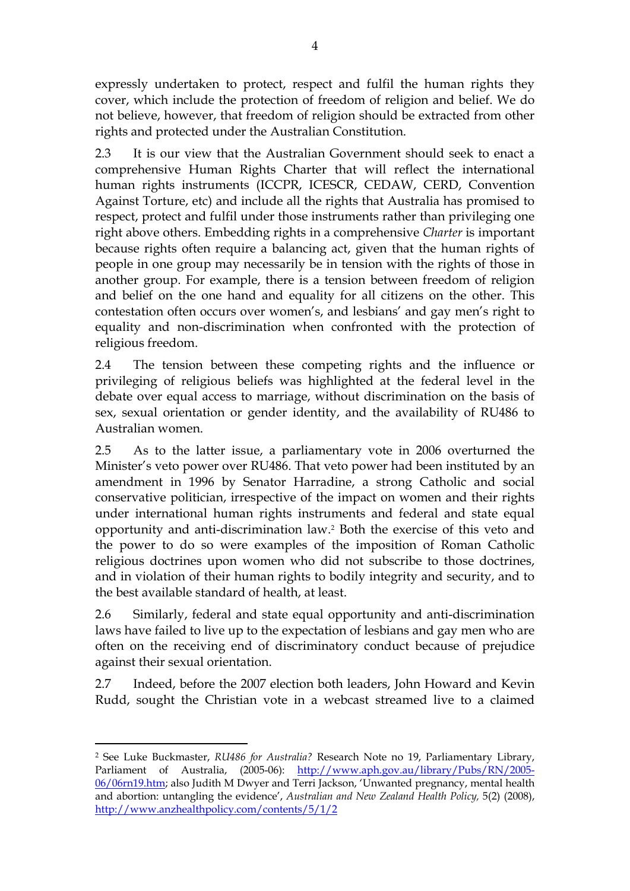expressly undertaken to protect, respect and fulfil the human rights they cover, which include the protection of freedom of religion and belief. We do not believe, however, that freedom of religion should be extracted from other rights and protected under the Australian Constitution.

2.3 It is our view that the Australian Government should seek to enact a comprehensive Human Rights Charter that will reflect the international human rights instruments (ICCPR, ICESCR, CEDAW, CERD, Convention Against Torture, etc) and include all the rights that Australia has promised to respect, protect and fulfil under those instruments rather than privileging one right above others. Embedding rights in a comprehensive *Charter* is important because rights often require a balancing act, given that the human rights of people in one group may necessarily be in tension with the rights of those in another group. For example, there is a tension between freedom of religion and belief on the one hand and equality for all citizens on the other. This contestation often occurs over women's, and lesbians' and gay men's right to equality and non-discrimination when confronted with the protection of religious freedom.

2.4 The tension between these competing rights and the influence or privileging of religious beliefs was highlighted at the federal level in the debate over equal access to marriage, without discrimination on the basis of sex, sexual orientation or gender identity, and the availability of RU486 to Australian women.

2.5 As to the latter issue, a parliamentary vote in 2006 overturned the Minister's veto power over RU486. That veto power had been instituted by an amendment in 1996 by Senator Harradine, a strong Catholic and social conservative politician, irrespective of the impact on women and their rights under international human rights instruments and federal and state equal opportunity and anti-discrimination law.2 Both the exercise of this veto and the power to do so were examples of the imposition of Roman Catholic religious doctrines upon women who did not subscribe to those doctrines, and in violation of their human rights to bodily integrity and security, and to the best available standard of health, at least.

2.6 Similarly, federal and state equal opportunity and anti-discrimination laws have failed to live up to the expectation of lesbians and gay men who are often on the receiving end of discriminatory conduct because of prejudice against their sexual orientation.

2.7 Indeed, before the 2007 election both leaders, John Howard and Kevin Rudd, sought the Christian vote in a webcast streamed live to a claimed

<sup>&</sup>lt;u>.</u> 2 See Luke Buckmaster, *RU486 for Australia?* Research Note no 19, Parliamentary Library, Parliament of Australia, (2005-06): http://www.aph.gov.au/library/Pubs/RN/2005- 06/06rn19.htm; also Judith M Dwyer and Terri Jackson, 'Unwanted pregnancy, mental health and abortion: untangling the evidence', *Australian and New Zealand Health Policy,* 5(2) (2008), http://www.anzhealthpolicy.com/contents/5/1/2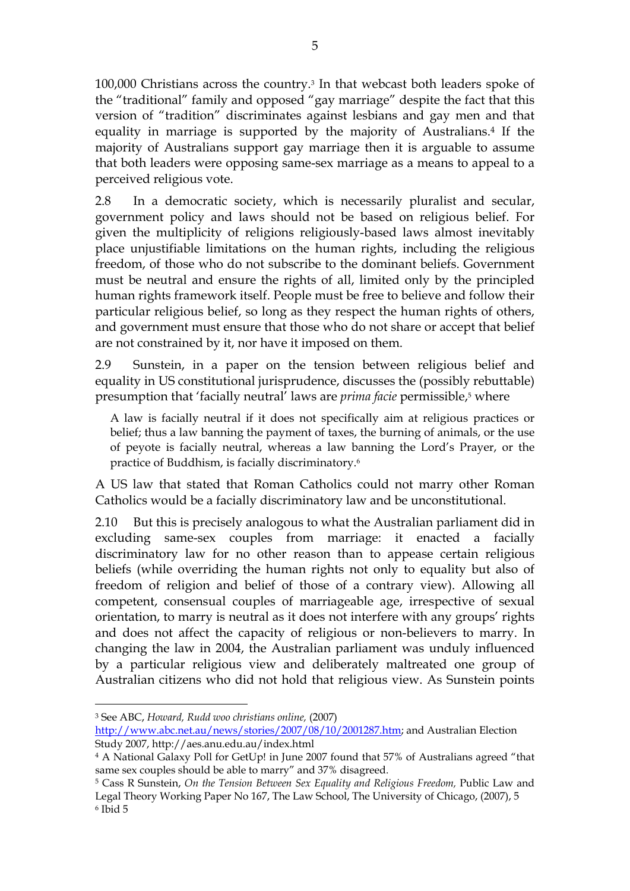100,000 Christians across the country.3 In that webcast both leaders spoke of the "traditional" family and opposed "gay marriage" despite the fact that this version of "tradition" discriminates against lesbians and gay men and that equality in marriage is supported by the majority of Australians.4 If the majority of Australians support gay marriage then it is arguable to assume that both leaders were opposing same-sex marriage as a means to appeal to a perceived religious vote.

2.8 In a democratic society, which is necessarily pluralist and secular, government policy and laws should not be based on religious belief. For given the multiplicity of religions religiously-based laws almost inevitably place unjustifiable limitations on the human rights, including the religious freedom, of those who do not subscribe to the dominant beliefs. Government must be neutral and ensure the rights of all, limited only by the principled human rights framework itself. People must be free to believe and follow their particular religious belief, so long as they respect the human rights of others, and government must ensure that those who do not share or accept that belief are not constrained by it, nor have it imposed on them.

2.9 Sunstein, in a paper on the tension between religious belief and equality in US constitutional jurisprudence, discusses the (possibly rebuttable) presumption that 'facially neutral' laws are *prima facie* permissible,<sup>5</sup> where

A law is facially neutral if it does not specifically aim at religious practices or belief; thus a law banning the payment of taxes, the burning of animals, or the use of peyote is facially neutral, whereas a law banning the Lord's Prayer, or the practice of Buddhism, is facially discriminatory.<sup>6</sup>

A US law that stated that Roman Catholics could not marry other Roman Catholics would be a facially discriminatory law and be unconstitutional.

2.10 But this is precisely analogous to what the Australian parliament did in excluding same-sex couples from marriage: it enacted a facially discriminatory law for no other reason than to appease certain religious beliefs (while overriding the human rights not only to equality but also of freedom of religion and belief of those of a contrary view). Allowing all competent, consensual couples of marriageable age, irrespective of sexual orientation, to marry is neutral as it does not interfere with any groups' rights and does not affect the capacity of religious or non-believers to marry. In changing the law in 2004, the Australian parliament was unduly influenced by a particular religious view and deliberately maltreated one group of Australian citizens who did not hold that religious view. As Sunstein points

3 See ABC, *Howard, Rudd woo christians online,* (2007) http://www.abc.net.au/news/stories/2007/08/10/2001287.htm; and Australian Election Study 2007, http://aes.anu.edu.au/index.html

<sup>4</sup> A National Galaxy Poll for GetUp! in June 2007 found that 57% of Australians agreed "that same sex couples should be able to marry" and 37% disagreed.

<sup>&</sup>lt;sup>5</sup> Cass R Sunstein, *On the Tension Between Sex Equality and Religious Freedom*, Public Law and Legal Theory Working Paper No 167, The Law School, The University of Chicago, (2007), 5 6 Ibid 5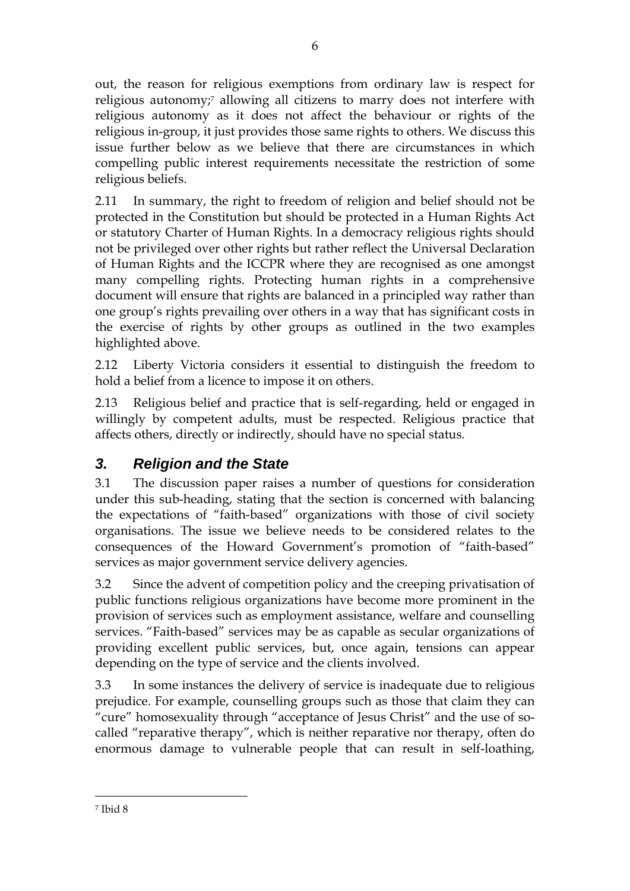out, the reason for religious exemptions from ordinary law is respect for religious autonomy;<sup>7</sup> allowing all citizens to marry does not interfere with religious autonomy as it does not affect the behaviour or rights of the religious in-group, it just provides those same rights to others. We discuss this issue further below as we believe that there are circumstances in which compelling public interest requirements necessitate the restriction of some religious beliefs.

2.11 In summary, the right to freedom of religion and belief should not be protected in the Constitution but should be protected in a Human Rights Act or statutory Charter of Human Rights. In a democracy religious rights should not be privileged over other rights but rather reflect the Universal Declaration of Human Rights and the ICCPR where they are recognised as one amongst many compelling rights. Protecting human rights in a comprehensive document will ensure that rights are balanced in a principled way rather than one group's rights prevailing over others in a way that has significant costs in the exercise of rights by other groups as outlined in the two examples highlighted above.

2.12 Liberty Victoria considers it essential to distinguish the freedom to hold a belief from a licence to impose it on others.

2.13 Religious belief and practice that is self-regarding, held or engaged in willingly by competent adults, must be respected. Religious practice that affects others, directly or indirectly, should have no special status.

## *3. Religion and the State*

3.1 The discussion paper raises a number of questions for consideration under this sub-heading, stating that the section is concerned with balancing the expectations of "faith-based" organizations with those of civil society organisations. The issue we believe needs to be considered relates to the consequences of the Howard Government's promotion of "faith-based" services as major government service delivery agencies.

3.2 Since the advent of competition policy and the creeping privatisation of public functions religious organizations have become more prominent in the provision of services such as employment assistance, welfare and counselling services. "Faith-based" services may be as capable as secular organizations of providing excellent public services, but, once again, tensions can appear depending on the type of service and the clients involved.

3.3 In some instances the delivery of service is inadequate due to religious prejudice. For example, counselling groups such as those that claim they can "cure" homosexuality through "acceptance of Jesus Christ" and the use of socalled "reparative therapy", which is neither reparative nor therapy, often do enormous damage to vulnerable people that can result in self-loathing,

<sup>7</sup> Ibid 8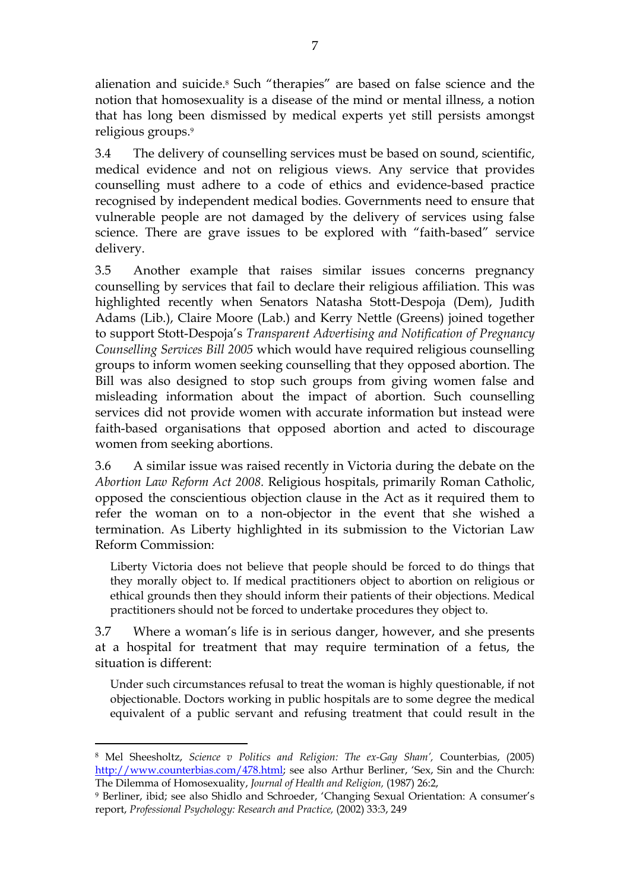alienation and suicide.8 Such "therapies" are based on false science and the notion that homosexuality is a disease of the mind or mental illness, a notion that has long been dismissed by medical experts yet still persists amongst religious groups.<sup>9</sup>

3.4 The delivery of counselling services must be based on sound, scientific, medical evidence and not on religious views. Any service that provides counselling must adhere to a code of ethics and evidence-based practice recognised by independent medical bodies. Governments need to ensure that vulnerable people are not damaged by the delivery of services using false science. There are grave issues to be explored with "faith-based" service delivery.

3.5 Another example that raises similar issues concerns pregnancy counselling by services that fail to declare their religious affiliation. This was highlighted recently when Senators Natasha Stott-Despoja (Dem), Judith Adams (Lib.), Claire Moore (Lab.) and Kerry Nettle (Greens) joined together to support Stott-Despoja's *Transparent Advertising and Notification of Pregnancy Counselling Services Bill 2005* which would have required religious counselling groups to inform women seeking counselling that they opposed abortion. The Bill was also designed to stop such groups from giving women false and misleading information about the impact of abortion. Such counselling services did not provide women with accurate information but instead were faith-based organisations that opposed abortion and acted to discourage women from seeking abortions.

3.6 A similar issue was raised recently in Victoria during the debate on the *Abortion Law Reform Act 2008.* Religious hospitals, primarily Roman Catholic, opposed the conscientious objection clause in the Act as it required them to refer the woman on to a non-objector in the event that she wished a termination. As Liberty highlighted in its submission to the Victorian Law Reform Commission:

Liberty Victoria does not believe that people should be forced to do things that they morally object to. If medical practitioners object to abortion on religious or ethical grounds then they should inform their patients of their objections. Medical practitioners should not be forced to undertake procedures they object to.

3.7 Where a woman's life is in serious danger, however, and she presents at a hospital for treatment that may require termination of a fetus, the situation is different:

Under such circumstances refusal to treat the woman is highly questionable, if not objectionable. Doctors working in public hospitals are to some degree the medical equivalent of a public servant and refusing treatment that could result in the

<sup>&</sup>lt;u>.</u> 8 Mel Sheesholtz, *Science v Politics and Religion: The ex-Gay Sham',* Counterbias, (2005) http://www.counterbias.com/478.html; see also Arthur Berliner, 'Sex, Sin and the Church: The Dilemma of Homosexuality, *Journal of Health and Religion,* (1987) 26:2,

<sup>9</sup> Berliner, ibid; see also Shidlo and Schroeder, 'Changing Sexual Orientation: A consumer's report, *Professional Psychology: Research and Practice,* (2002) 33:3, 249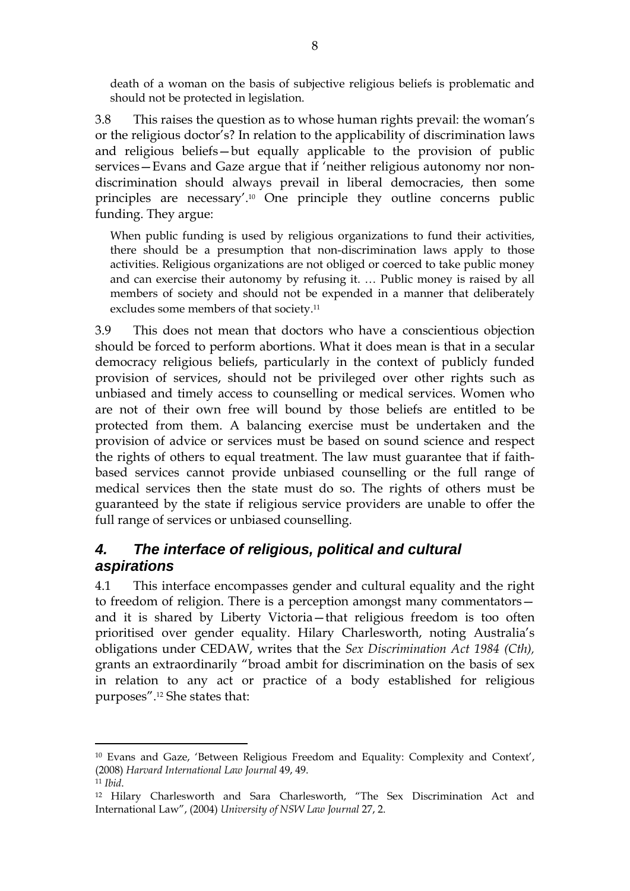death of a woman on the basis of subjective religious beliefs is problematic and should not be protected in legislation.

3.8 This raises the question as to whose human rights prevail: the woman's or the religious doctor's? In relation to the applicability of discrimination laws and religious beliefs—but equally applicable to the provision of public services—Evans and Gaze argue that if 'neither religious autonomy nor nondiscrimination should always prevail in liberal democracies, then some principles are necessary'.10 One principle they outline concerns public funding. They argue:

When public funding is used by religious organizations to fund their activities, there should be a presumption that non-discrimination laws apply to those activities. Religious organizations are not obliged or coerced to take public money and can exercise their autonomy by refusing it. … Public money is raised by all members of society and should not be expended in a manner that deliberately excludes some members of that society.<sup>11</sup>

3.9 This does not mean that doctors who have a conscientious objection should be forced to perform abortions. What it does mean is that in a secular democracy religious beliefs, particularly in the context of publicly funded provision of services, should not be privileged over other rights such as unbiased and timely access to counselling or medical services. Women who are not of their own free will bound by those beliefs are entitled to be protected from them. A balancing exercise must be undertaken and the provision of advice or services must be based on sound science and respect the rights of others to equal treatment. The law must guarantee that if faithbased services cannot provide unbiased counselling or the full range of medical services then the state must do so. The rights of others must be guaranteed by the state if religious service providers are unable to offer the full range of services or unbiased counselling.

### *4. The interface of religious, political and cultural aspirations*

4.1 This interface encompasses gender and cultural equality and the right to freedom of religion. There is a perception amongst many commentators and it is shared by Liberty Victoria—that religious freedom is too often prioritised over gender equality. Hilary Charlesworth, noting Australia's obligations under CEDAW, writes that the *Sex Discrimination Act 1984 (Cth),*  grants an extraordinarily "broad ambit for discrimination on the basis of sex in relation to any act or practice of a body established for religious purposes".12 She states that:

<sup>&</sup>lt;u>.</u> 10 Evans and Gaze, 'Between Religious Freedom and Equality: Complexity and Context', (2008) *Harvard International Law Journal* 49, 49.

<sup>&</sup>lt;sup>11</sup> *Ibid*.<br><sup>12</sup> Hilary Charlesworth and Sara Charlesworth, "The Sex Discrimination Act and International Law", (2004) *University of NSW Law Journal* 27, 2.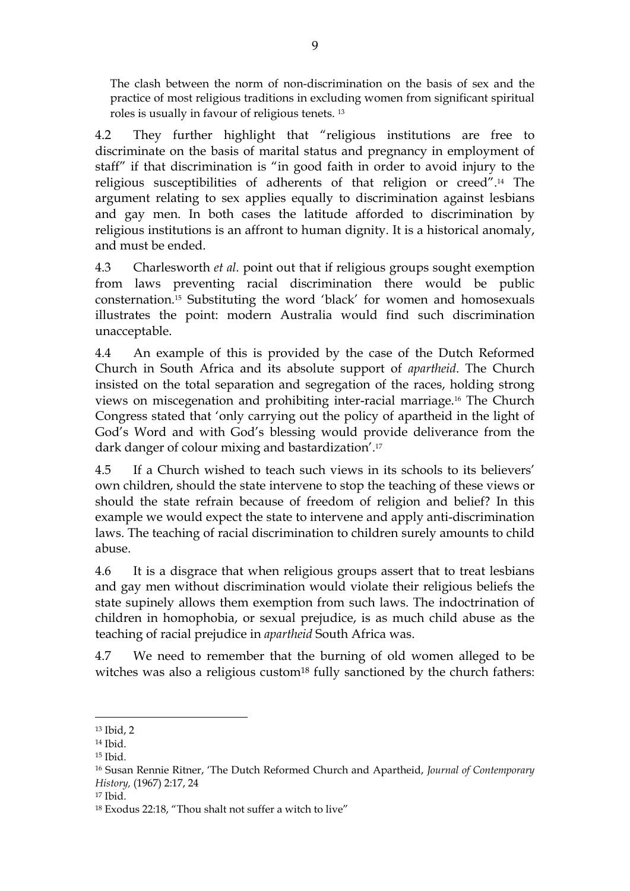The clash between the norm of non-discrimination on the basis of sex and the practice of most religious traditions in excluding women from significant spiritual roles is usually in favour of religious tenets. <sup>13</sup>

4.2 They further highlight that "religious institutions are free to discriminate on the basis of marital status and pregnancy in employment of staff" if that discrimination is "in good faith in order to avoid injury to the religious susceptibilities of adherents of that religion or creed".14 The argument relating to sex applies equally to discrimination against lesbians and gay men. In both cases the latitude afforded to discrimination by religious institutions is an affront to human dignity. It is a historical anomaly, and must be ended.

4.3 Charlesworth *et al.* point out that if religious groups sought exemption from laws preventing racial discrimination there would be public consternation.15 Substituting the word 'black' for women and homosexuals illustrates the point: modern Australia would find such discrimination unacceptable.

4.4 An example of this is provided by the case of the Dutch Reformed Church in South Africa and its absolute support of *apartheid*. The Church insisted on the total separation and segregation of the races, holding strong views on miscegenation and prohibiting inter-racial marriage.16 The Church Congress stated that 'only carrying out the policy of apartheid in the light of God's Word and with God's blessing would provide deliverance from the dark danger of colour mixing and bastardization'.<sup>17</sup>

4.5 If a Church wished to teach such views in its schools to its believers' own children, should the state intervene to stop the teaching of these views or should the state refrain because of freedom of religion and belief? In this example we would expect the state to intervene and apply anti-discrimination laws. The teaching of racial discrimination to children surely amounts to child abuse.

4.6 It is a disgrace that when religious groups assert that to treat lesbians and gay men without discrimination would violate their religious beliefs the state supinely allows them exemption from such laws. The indoctrination of children in homophobia, or sexual prejudice, is as much child abuse as the teaching of racial prejudice in *apartheid* South Africa was.

4.7 We need to remember that the burning of old women alleged to be witches was also a religious custom<sup>18</sup> fully sanctioned by the church fathers:

<sup>13</sup> Ibid, 2

<sup>14</sup> Ibid.

<sup>15</sup> Ibid.

<sup>16</sup> Susan Rennie Ritner, 'The Dutch Reformed Church and Apartheid, *Journal of Contemporary History,* (1967) 2:17, 24

<sup>17</sup> Ibid.

<sup>18</sup> Exodus 22:18, "Thou shalt not suffer a witch to live"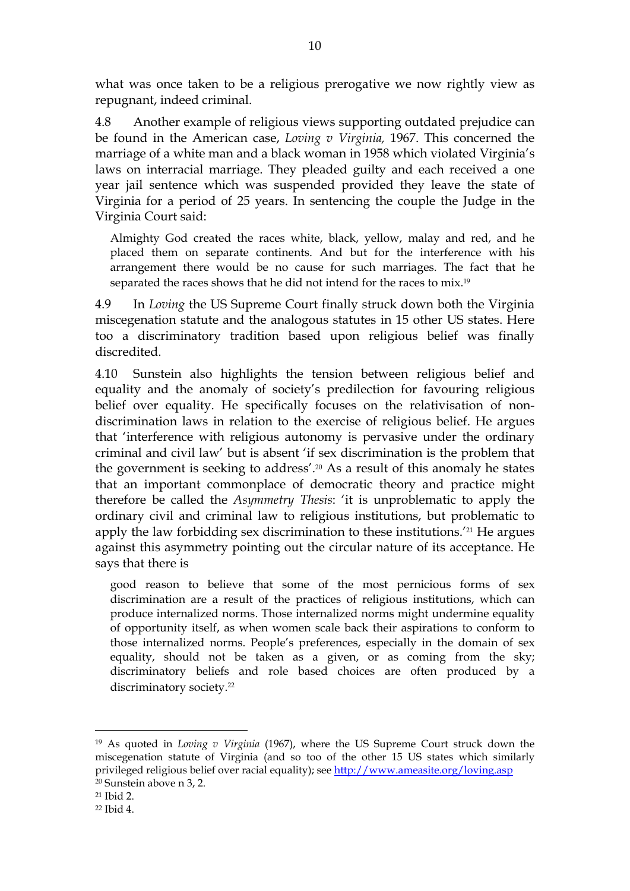what was once taken to be a religious prerogative we now rightly view as repugnant, indeed criminal.

4.8 Another example of religious views supporting outdated prejudice can be found in the American case, *Loving v Virginia,* 1967. This concerned the marriage of a white man and a black woman in 1958 which violated Virginia's laws on interracial marriage. They pleaded guilty and each received a one year jail sentence which was suspended provided they leave the state of Virginia for a period of 25 years. In sentencing the couple the Judge in the Virginia Court said:

Almighty God created the races white, black, yellow, malay and red, and he placed them on separate continents. And but for the interference with his arrangement there would be no cause for such marriages. The fact that he separated the races shows that he did not intend for the races to mix.<sup>19</sup>

4.9 In *Loving* the US Supreme Court finally struck down both the Virginia miscegenation statute and the analogous statutes in 15 other US states. Here too a discriminatory tradition based upon religious belief was finally discredited.

4.10 Sunstein also highlights the tension between religious belief and equality and the anomaly of society's predilection for favouring religious belief over equality. He specifically focuses on the relativisation of nondiscrimination laws in relation to the exercise of religious belief. He argues that 'interference with religious autonomy is pervasive under the ordinary criminal and civil law' but is absent 'if sex discrimination is the problem that the government is seeking to address'.20 As a result of this anomaly he states that an important commonplace of democratic theory and practice might therefore be called the *Asymmetry Thesis*: 'it is unproblematic to apply the ordinary civil and criminal law to religious institutions, but problematic to apply the law forbidding sex discrimination to these institutions.'21 He argues against this asymmetry pointing out the circular nature of its acceptance. He says that there is

good reason to believe that some of the most pernicious forms of sex discrimination are a result of the practices of religious institutions, which can produce internalized norms. Those internalized norms might undermine equality of opportunity itself, as when women scale back their aspirations to conform to those internalized norms. People's preferences, especially in the domain of sex equality, should not be taken as a given, or as coming from the sky; discriminatory beliefs and role based choices are often produced by a discriminatory society.<sup>22</sup>

<u>.</u>

<sup>19</sup> As quoted in *Loving v Virginia* (1967), where the US Supreme Court struck down the miscegenation statute of Virginia (and so too of the other 15 US states which similarly privileged religious belief over racial equality); see <u>http://www.ameasite.org/loving.asp</u> <sup>20</sup> Sunstein above n 3, 2.

<sup>21</sup> Ibid 2.

<sup>22</sup> Ibid 4.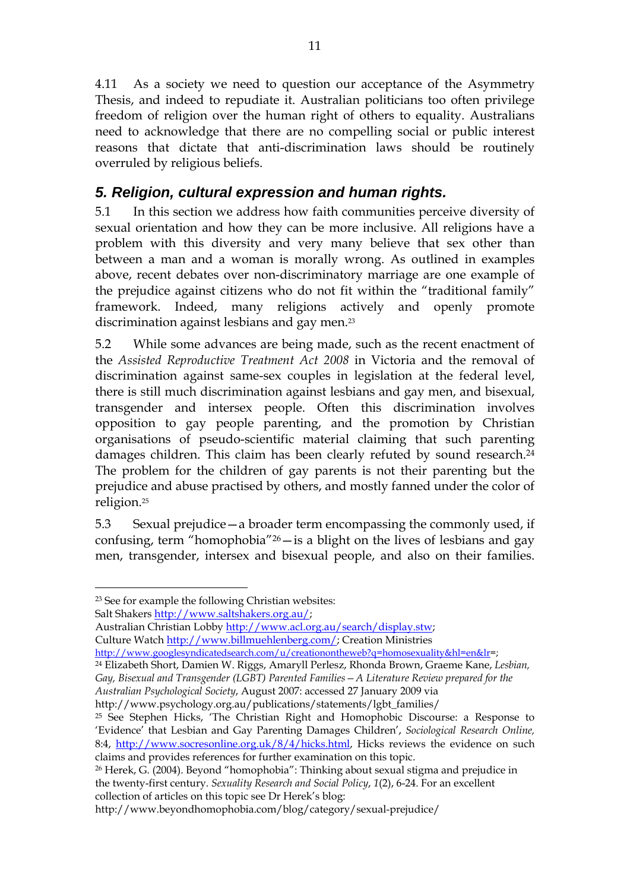4.11 As a society we need to question our acceptance of the Asymmetry Thesis, and indeed to repudiate it. Australian politicians too often privilege freedom of religion over the human right of others to equality. Australians need to acknowledge that there are no compelling social or public interest reasons that dictate that anti-discrimination laws should be routinely overruled by religious beliefs.

## *5. Religion, cultural expression and human rights.*

5.1 In this section we address how faith communities perceive diversity of sexual orientation and how they can be more inclusive. All religions have a problem with this diversity and very many believe that sex other than between a man and a woman is morally wrong. As outlined in examples above, recent debates over non-discriminatory marriage are one example of the prejudice against citizens who do not fit within the "traditional family" framework. Indeed, many religions actively and openly promote discrimination against lesbians and gay men.<sup>23</sup>

5.2 While some advances are being made, such as the recent enactment of the *Assisted Reproductive Treatment Act 2008* in Victoria and the removal of discrimination against same-sex couples in legislation at the federal level, there is still much discrimination against lesbians and gay men, and bisexual, transgender and intersex people. Often this discrimination involves opposition to gay people parenting, and the promotion by Christian organisations of pseudo-scientific material claiming that such parenting damages children. This claim has been clearly refuted by sound research.<sup>24</sup> The problem for the children of gay parents is not their parenting but the prejudice and abuse practised by others, and mostly fanned under the color of religion.<sup>25</sup>

5.3 Sexual prejudice—a broader term encompassing the commonly used, if confusing, term "homophobia"26—is a blight on the lives of lesbians and gay men, transgender, intersex and bisexual people, and also on their families.

Salt Shakers http://www.saltshakers.org.au/;

-

Australian Christian Lobby http://www.acl.org.au/search/display.stw;

Culture Watch http://www.billmuehlenberg.com/; Creation Ministries

http://www.googlesyndicatedsearch.com/u/creationontheweb?q=homosexuality&hl=en&lr=; 24 Elizabeth Short, Damien W. Riggs, Amaryll Perlesz, Rhonda Brown, Graeme Kane, *Lesbian,* 

*Gay, Bisexual and Transgender (LGBT) Parented Families—A Literature Review prepared for the Australian Psychological Society*, August 2007: accessed 27 January 2009 via

http://www.psychology.org.au/publications/statements/lgbt\_families/

<sup>23</sup> See for example the following Christian websites:

<sup>25</sup> See Stephen Hicks, 'The Christian Right and Homophobic Discourse: a Response to 'Evidence' that Lesbian and Gay Parenting Damages Children', *Sociological Research Online,*  8:4, http://www.socresonline.org.uk/8/4/hicks.html, Hicks reviews the evidence on such claims and provides references for further examination on this topic.

<sup>26</sup> Herek, G. (2004). Beyond "homophobia": Thinking about sexual stigma and prejudice in the twenty-first century. *Sexuality Research and Social Policy*, *1*(2), 6-24. For an excellent collection of articles on this topic see Dr Herek's blog:

http://www.beyondhomophobia.com/blog/category/sexual-prejudice/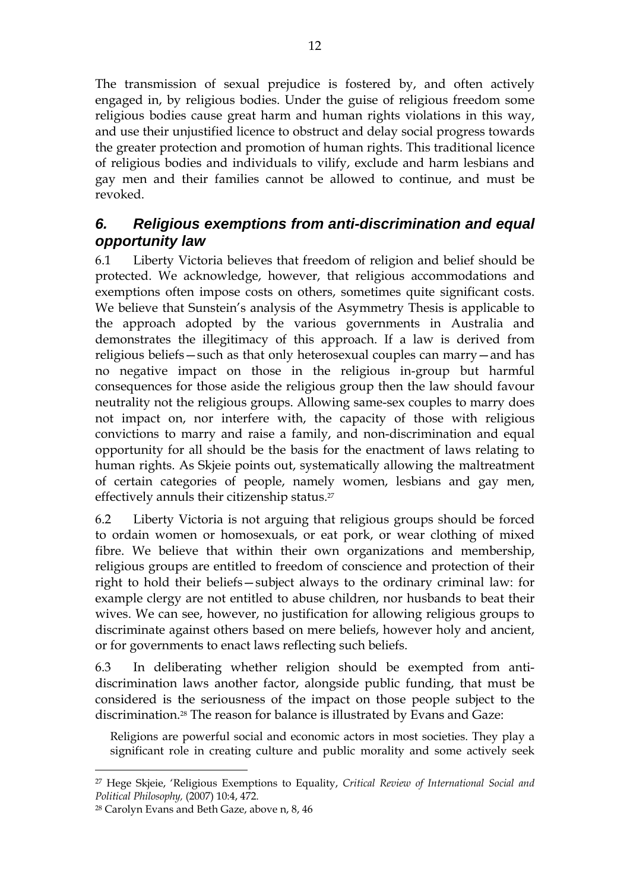The transmission of sexual prejudice is fostered by, and often actively engaged in, by religious bodies. Under the guise of religious freedom some religious bodies cause great harm and human rights violations in this way, and use their unjustified licence to obstruct and delay social progress towards the greater protection and promotion of human rights. This traditional licence of religious bodies and individuals to vilify, exclude and harm lesbians and gay men and their families cannot be allowed to continue, and must be revoked.

#### *6. Religious exemptions from anti-discrimination and equal opportunity law*

6.1 Liberty Victoria believes that freedom of religion and belief should be protected. We acknowledge, however, that religious accommodations and exemptions often impose costs on others, sometimes quite significant costs. We believe that Sunstein's analysis of the Asymmetry Thesis is applicable to the approach adopted by the various governments in Australia and demonstrates the illegitimacy of this approach. If a law is derived from religious beliefs—such as that only heterosexual couples can marry—and has no negative impact on those in the religious in-group but harmful consequences for those aside the religious group then the law should favour neutrality not the religious groups. Allowing same-sex couples to marry does not impact on, nor interfere with, the capacity of those with religious convictions to marry and raise a family, and non-discrimination and equal opportunity for all should be the basis for the enactment of laws relating to human rights. As Skjeie points out, systematically allowing the maltreatment of certain categories of people, namely women, lesbians and gay men, effectively annuls their citizenship status.<sup>27</sup>

6.2 Liberty Victoria is not arguing that religious groups should be forced to ordain women or homosexuals, or eat pork, or wear clothing of mixed fibre. We believe that within their own organizations and membership, religious groups are entitled to freedom of conscience and protection of their right to hold their beliefs—subject always to the ordinary criminal law: for example clergy are not entitled to abuse children, nor husbands to beat their wives. We can see, however, no justification for allowing religious groups to discriminate against others based on mere beliefs, however holy and ancient, or for governments to enact laws reflecting such beliefs.

6.3 In deliberating whether religion should be exempted from antidiscrimination laws another factor, alongside public funding, that must be considered is the seriousness of the impact on those people subject to the discrimination.28 The reason for balance is illustrated by Evans and Gaze:

Religions are powerful social and economic actors in most societies. They play a significant role in creating culture and public morality and some actively seek

<sup>27</sup> Hege Skjeie, 'Religious Exemptions to Equality, *Critical Review of International Social and Political Philosophy,* (2007) 10:4, 472.

<sup>28</sup> Carolyn Evans and Beth Gaze, above n, 8, 46